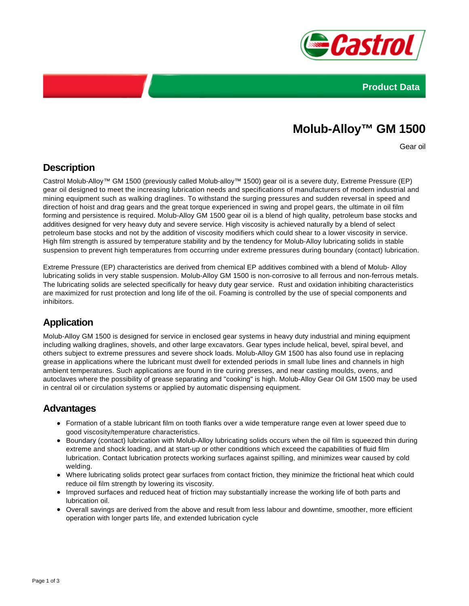



# **Molub-Alloy™ GM 1500**

Gear oil

### **Description**

Castrol Molub-Alloy™ GM 1500 (previously called Molub-alloy™ 1500) gear oil is a severe duty, Extreme Pressure (EP) gear oil designed to meet the increasing lubrication needs and specifications of manufacturers of modern industrial and mining equipment such as walking draglines. To withstand the surging pressures and sudden reversal in speed and direction of hoist and drag gears and the great torque experienced in swing and propel gears, the ultimate in oil film forming and persistence is required. Molub-Alloy GM 1500 gear oil is a blend of high quality, petroleum base stocks and additives designed for very heavy duty and severe service. High viscosity is achieved naturally by a blend of select petroleum base stocks and not by the addition of viscosity modifiers which could shear to a lower viscosity in service. High film strength is assured by temperature stability and by the tendency for Molub-Alloy lubricating solids in stable suspension to prevent high temperatures from occurring under extreme pressures during boundary (contact) lubrication.

Extreme Pressure (EP) characteristics are derived from chemical EP additives combined with a blend of Molub- Alloy lubricating solids in very stable suspension. Molub-Alloy GM 1500 is non-corrosive to all ferrous and non-ferrous metals. The lubricating solids are selected specifically for heavy duty gear service. Rust and oxidation inhibiting characteristics are maximized for rust protection and long life of the oil. Foaming is controlled by the use of special components and inhibitors.

### **Application**

Molub-Alloy GM 1500 is designed for service in enclosed gear systems in heavy duty industrial and mining equipment including walking draglines, shovels, and other large excavators. Gear types include helical, bevel, spiral bevel, and others subject to extreme pressures and severe shock loads. Molub-Alloy GM 1500 has also found use in replacing grease in applications where the lubricant must dwell for extended periods in small lube lines and channels in high ambient temperatures. Such applications are found in tire curing presses, and near casting moulds, ovens, and autoclaves where the possibility of grease separating and "cooking" is high. Molub-Alloy Gear Oil GM 1500 may be used in central oil or circulation systems or applied by automatic dispensing equipment.

### **Advantages**

- Formation of a stable lubricant film on tooth flanks over a wide temperature range even at lower speed due to good viscosity/temperature characteristics.
- Boundary (contact) lubrication with Molub-Alloy lubricating solids occurs when the oil film is squeezed thin during extreme and shock loading, and at start-up or other conditions which exceed the capabilities of fluid film lubrication. Contact lubrication protects working surfaces against spilling, and minimizes wear caused by cold welding.
- Where lubricating solids protect gear surfaces from contact friction, they minimize the frictional heat which could reduce oil film strength by lowering its viscosity.
- Improved surfaces and reduced heat of friction may substantially increase the working life of both parts and lubrication oil.
- Overall savings are derived from the above and result from less labour and downtime, smoother, more efficient operation with longer parts life, and extended lubrication cycle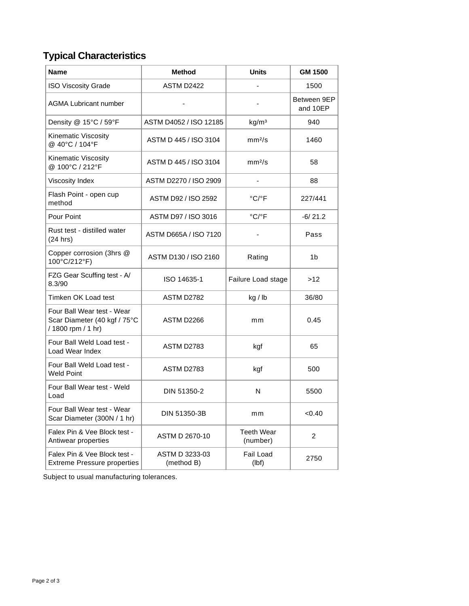## **Typical Characteristics**

| <b>Name</b>                                                                      | <b>Method</b>                | <b>Units</b>                  | <b>GM 1500</b>          |
|----------------------------------------------------------------------------------|------------------------------|-------------------------------|-------------------------|
| <b>ISO Viscosity Grade</b>                                                       | ASTM D2422                   |                               | 1500                    |
| <b>AGMA Lubricant number</b>                                                     |                              |                               | Between 9EP<br>and 10EP |
| Density @ 15°C / 59°F                                                            | ASTM D4052 / ISO 12185       | kg/m <sup>3</sup>             | 940                     |
| Kinematic Viscosity<br>@ 40°C / 104°F                                            | ASTM D 445 / ISO 3104        | mm <sup>2</sup> /s            | 1460                    |
| Kinematic Viscosity<br>@ 100°C / 212°F                                           | ASTM D 445 / ISO 3104        | mm <sup>2</sup> /s            | 58                      |
| Viscosity Index                                                                  | ASTM D2270 / ISO 2909        |                               | 88                      |
| Flash Point - open cup<br>method                                                 | ASTM D92 / ISO 2592          | $^{\circ}$ C/ $^{\circ}$ F    | 227/441                 |
| Pour Point                                                                       | ASTM D97 / ISO 3016          | °C/°F                         | $-6/21.2$               |
| Rust test - distilled water<br>(24 hrs)                                          | ASTM D665A / ISO 7120        |                               | Pass                    |
| Copper corrosion (3hrs @<br>100°C/212°F)                                         | ASTM D130 / ISO 2160         | Rating                        | 1b                      |
| FZG Gear Scuffing test - A/<br>8.3/90                                            | ISO 14635-1                  | Failure Load stage            | >12                     |
| Timken OK Load test                                                              | ASTM D2782                   | kg / lb                       | 36/80                   |
| Four Ball Wear test - Wear<br>Scar Diameter (40 kgf / 75°C<br>/ 1800 rpm / 1 hr) | ASTM D2266                   | mm                            | 0.45                    |
| Four Ball Weld Load test -<br>Load Wear Index                                    | <b>ASTM D2783</b>            | kgf                           | 65                      |
| Four Ball Weld Load test -<br><b>Weld Point</b>                                  | ASTM D2783                   | kgf                           | 500                     |
| Four Ball Wear test - Weld<br>Load                                               | DIN 51350-2                  | N                             | 5500                    |
| Four Ball Wear test - Wear<br>Scar Diameter (300N / 1 hr)                        | DIN 51350-3B                 | mm                            | < 0.40                  |
| Falex Pin & Vee Block test -<br>Antiwear properties                              | ASTM D 2670-10               | <b>Teeth Wear</b><br>(number) | $\overline{c}$          |
| Falex Pin & Vee Block test -<br><b>Extreme Pressure properties</b>               | ASTM D 3233-03<br>(method B) | Fail Load<br>(lbf)            | 2750                    |

Subject to usual manufacturing tolerances.